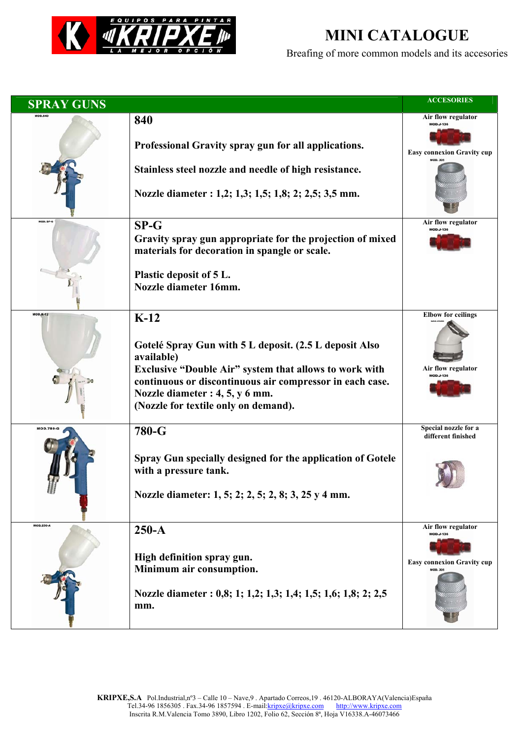

## **MINI CATALOGUE**

Breafing of more common models and its accesories

| <b>SPRAY GUNS</b> |                                                                                                                    | <b>ACCESORIES</b>                          |
|-------------------|--------------------------------------------------------------------------------------------------------------------|--------------------------------------------|
|                   | 840                                                                                                                | Air flow regulator<br><b>MOD.J-136</b>     |
|                   | Professional Gravity spray gun for all applications.                                                               | <b>Easy connexion Gravity cup</b>          |
|                   | Stainless steel nozzle and needle of high resistance.                                                              |                                            |
|                   | Nozzle diameter : 1,2; 1,3; 1,5; 1,8; 2; 2,5; 3,5 mm.                                                              |                                            |
| MOD. SP-G         | $SP-G$                                                                                                             | Air flow regulator<br><b>MOD.J-136</b>     |
|                   | Gravity spray gun appropriate for the projection of mixed<br>materials for decoration in spangle or scale.         |                                            |
|                   | Plastic deposit of 5 L.<br>Nozzle diameter 16mm.                                                                   |                                            |
| <b>MOD.K-12</b>   | $K-12$                                                                                                             | <b>Elbow</b> for ceilings                  |
|                   |                                                                                                                    |                                            |
|                   | Gotelé Spray Gun with 5 L deposit. (2.5 L deposit Also<br>available)                                               |                                            |
|                   | Exclusive "Double Air" system that allows to work with<br>continuous or discontinuous air compressor in each case. | Air flow regulator<br>MOD.J-136            |
|                   | Nozzle diameter : 4, 5, y 6 mm.                                                                                    |                                            |
|                   | (Nozzle for textile only on demand).                                                                               |                                            |
| <b>MOD.780-G</b>  | 780-G                                                                                                              | Special nozzle for a<br>different finished |
|                   | Spray Gun specially designed for the application of Gotele                                                         |                                            |
|                   | with a pressure tank.                                                                                              |                                            |
| 甜                 | Nozzle diameter: 1, 5; 2; 2, 5; 2, 8; 3, 25 y 4 mm.                                                                |                                            |
| <b>MOD.250-A</b>  | $250-A$                                                                                                            | Air flow regulator<br>MOD.J-136            |
|                   | High definition spray gun.                                                                                         |                                            |
|                   | Minimum air consumption.                                                                                           | <b>Easy connexion Gravity cup</b>          |
|                   |                                                                                                                    |                                            |
|                   | Nozzle diameter : 0,8; 1; 1,2; 1,3; 1,4; 1,5; 1,6; 1,8; 2; 2,5<br>mm.                                              |                                            |
|                   |                                                                                                                    |                                            |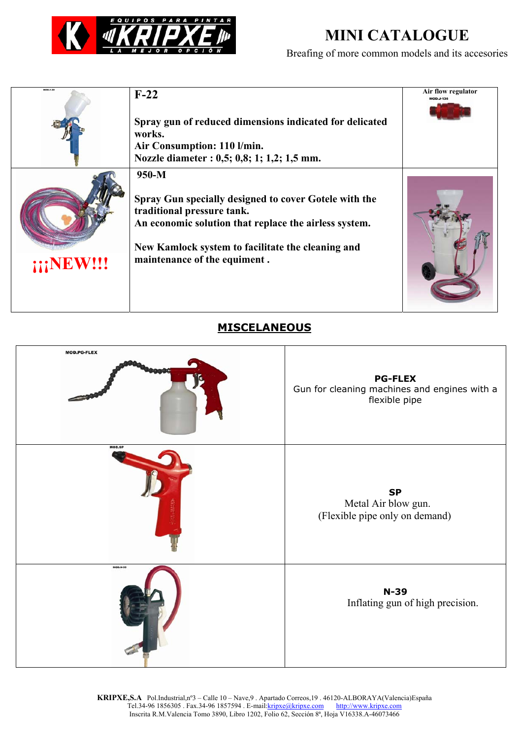

## **MINI CATALOGUE**

Breafing of more common models and its accesories

| <b>MOD.F-22</b> | $F-22$<br>Spray gun of reduced dimensions indicated for delicated<br>works.<br>Air Consumption: 110 l/min.<br>Nozzle diameter : 0,5; 0,8; 1; 1,2; 1,5 mm.                                                                                    | Air flow regulator |
|-----------------|----------------------------------------------------------------------------------------------------------------------------------------------------------------------------------------------------------------------------------------------|--------------------|
| <b>NEW!!!</b>   | $950-M$<br>Spray Gun specially designed to cover Gotele with the<br>traditional pressure tank.<br>An economic solution that replace the airless system.<br>New Kamlock system to facilitate the cleaning and<br>maintenance of the equiment. |                    |

## **MISCELANEOUS**

| <b>MOD.PG-FLEX</b> | <b>PG-FLEX</b><br>Gun for cleaning machines and engines with a<br>flexible pipe |
|--------------------|---------------------------------------------------------------------------------|
| <b>MOD.SP</b>      | <b>SP</b><br>Metal Air blow gun.<br>(Flexible pipe only on demand)              |
| <b>MOD.N-39</b>    | $N-39$<br>Inflating gun of high precision.                                      |